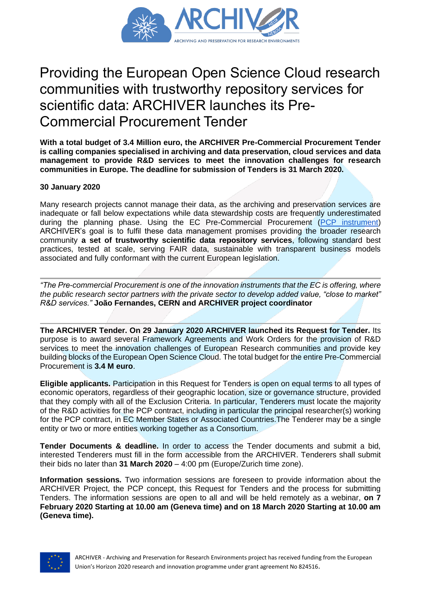

## Providing the European Open Science Cloud research communities with trustworthy repository services for scientific data: ARCHIVER launches its Pre-Commercial Procurement Tender

**With a total budget of 3.4 Million euro, the ARCHIVER Pre-Commercial Procurement Tender is calling companies specialised in archiving and data preservation, cloud services and data management to provide R&D services to meet the innovation challenges for research communities in Europe. The deadline for submission of Tenders is 31 March 2020.**

## **30 January 2020**

Many research projects cannot manage their data, as the archiving and preservation services are inadequate or fall below expectations while data stewardship costs are frequently underestimated during the planning phase. Using the EC Pre-Commercial Procurement [\(PCP instrument\)](https://ec.europa.eu/digital-single-market/en/pre-commercial-procurement) ARCHIVER's goal is to fulfil these data management promises providing the broader research community **a set of trustworthy scientific data repository services**, following standard best practices, tested at scale, serving FAIR data, sustainable with transparent business models associated and fully conformant with the current European legislation.

*"The Pre-commercial Procurement is one of the innovation instruments that the EC is offering, where the public research sector partners with the private sector to develop added value, "close to market" R&D services."* **João Fernandes, CERN and ARCHIVER project coordinator**

**The ARCHIVER Tender. On 29 January 2020 ARCHIVER launched its Request for Tender.** Its purpose is to award several Framework Agreements and Work Orders for the provision of R&D services to meet the innovation challenges of European Research communities and provide key building blocks of the European Open Science Cloud. The total budget for the entire Pre-Commercial Procurement is **3.4 M euro**.

**Eligible applicants.** Participation in this Request for Tenders is open on equal terms to all types of economic operators, regardless of their geographic location, size or governance structure, provided that they comply with all of the Exclusion Criteria. In particular, Tenderers must locate the majority of the R&D activities for the PCP contract, including in particular the principal researcher(s) working for the PCP contract, in EC Member States or Associated Countries.The Tenderer may be a single entity or two or more entities working together as a Consortium.

**Tender Documents & deadline.** In order to access the Tender documents and submit a bid, interested Tenderers must fill in the form accessible from the ARCHIVER. Tenderers shall submit their bids no later than **31 March 2020** – 4:00 pm (Europe/Zurich time zone).

**Information sessions.** Two information sessions are foreseen to provide information about the ARCHIVER Project, the PCP concept, this Request for Tenders and the process for submitting Tenders. The information sessions are open to all and will be held remotely as a webinar, **on 7 February 2020 Starting at 10.00 am (Geneva time) and on 18 March 2020 Starting at 10.00 am (Geneva time).**